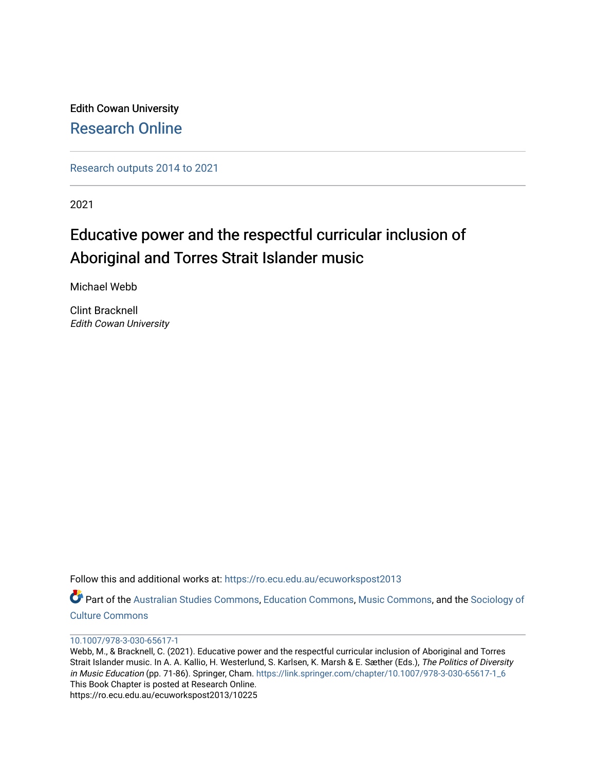Edith Cowan University [Research Online](https://ro.ecu.edu.au/) 

[Research outputs 2014 to 2021](https://ro.ecu.edu.au/ecuworkspost2013) 

2021

# Educative power and the respectful curricular inclusion of Aboriginal and Torres Strait Islander music

Michael Webb

Clint Bracknell Edith Cowan University

Follow this and additional works at: [https://ro.ecu.edu.au/ecuworkspost2013](https://ro.ecu.edu.au/ecuworkspost2013?utm_source=ro.ecu.edu.au%2Fecuworkspost2013%2F10225&utm_medium=PDF&utm_campaign=PDFCoverPages) 

Part of the [Australian Studies Commons](http://network.bepress.com/hgg/discipline/1020?utm_source=ro.ecu.edu.au%2Fecuworkspost2013%2F10225&utm_medium=PDF&utm_campaign=PDFCoverPages), [Education Commons,](http://network.bepress.com/hgg/discipline/784?utm_source=ro.ecu.edu.au%2Fecuworkspost2013%2F10225&utm_medium=PDF&utm_campaign=PDFCoverPages) [Music Commons,](http://network.bepress.com/hgg/discipline/518?utm_source=ro.ecu.edu.au%2Fecuworkspost2013%2F10225&utm_medium=PDF&utm_campaign=PDFCoverPages) and the [Sociology of](http://network.bepress.com/hgg/discipline/431?utm_source=ro.ecu.edu.au%2Fecuworkspost2013%2F10225&utm_medium=PDF&utm_campaign=PDFCoverPages)  [Culture Commons](http://network.bepress.com/hgg/discipline/431?utm_source=ro.ecu.edu.au%2Fecuworkspost2013%2F10225&utm_medium=PDF&utm_campaign=PDFCoverPages)

#### [10.1007/978-3-030-65617-1](http://dx.doi.org/10.1007/978-3-030-65617-1)

Webb, M., & Bracknell, C. (2021). Educative power and the respectful curricular inclusion of Aboriginal and Torres Strait Islander music. In A. A. Kallio, H. Westerlund, S. Karlsen, K. Marsh & E. Sæther (Eds.), The Politics of Diversity in Music Education (pp. 71-86). Springer, Cham. [https://link.springer.com/chapter/10.1007/978-3-030-65617-1\\_6](https://link.springer.com/chapter/10.1007/978-3-030-65617-1_6)  This Book Chapter is posted at Research Online. https://ro.ecu.edu.au/ecuworkspost2013/10225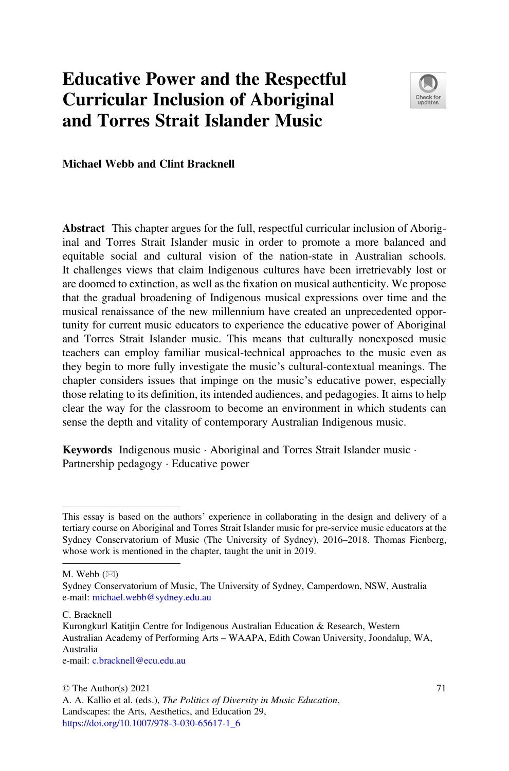## Educative Power and the Respectful Curricular Inclusion of Aboriginal and Torres Strait Islander Music



Michael Webb and Clint Bracknell

Abstract This chapter argues for the full, respectful curricular inclusion of Aboriginal and Torres Strait Islander music in order to promote a more balanced and equitable social and cultural vision of the nation-state in Australian schools. It challenges views that claim Indigenous cultures have been irretrievably lost or are doomed to extinction, as well as the fixation on musical authenticity. We propose that the gradual broadening of Indigenous musical expressions over time and the musical renaissance of the new millennium have created an unprecedented opportunity for current music educators to experience the educative power of Aboriginal and Torres Strait Islander music. This means that culturally nonexposed music teachers can employ familiar musical-technical approaches to the music even as they begin to more fully investigate the music's cultural-contextual meanings. The chapter considers issues that impinge on the music's educative power, especially those relating to its definition, its intended audiences, and pedagogies. It aims to help clear the way for the classroom to become an environment in which students can sense the depth and vitality of contemporary Australian Indigenous music.

Keywords Indigenous music · Aboriginal and Torres Strait Islander music · Partnership pedagogy · Educative power

M. Webb  $(\boxtimes)$ 

C. Bracknell

e-mail: [c.bracknell@ecu.edu.au](mailto:c.bracknell@ecu.edu.au)

This essay is based on the authors' experience in collaborating in the design and delivery of a tertiary course on Aboriginal and Torres Strait Islander music for pre-service music educators at the Sydney Conservatorium of Music (The University of Sydney), 2016–2018. Thomas Fienberg, whose work is mentioned in the chapter, taught the unit in 2019.

Sydney Conservatorium of Music, The University of Sydney, Camperdown, NSW, Australia e-mail: [michael.webb@sydney.edu.au](mailto:michael.webb@sydney.edu.au)

Kurongkurl Katitjin Centre for Indigenous Australian Education & Research, Western Australian Academy of Performing Arts – WAAPA, Edith Cowan University, Joondalup, WA, Australia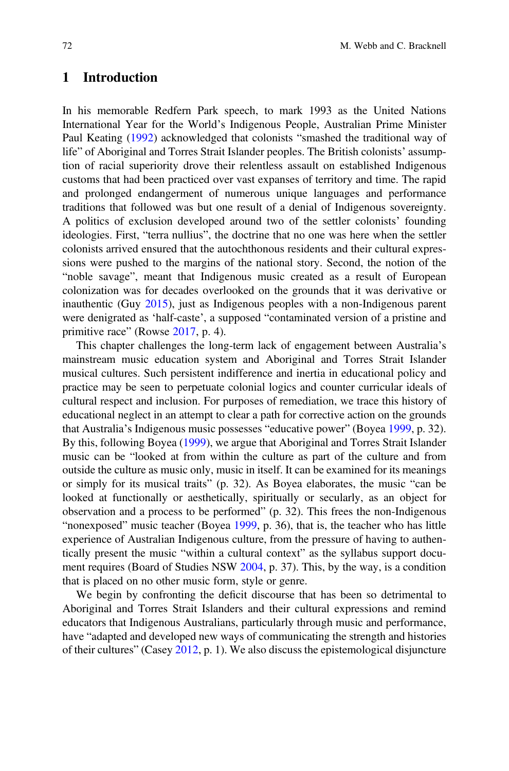### 1 Introduction

In his memorable Redfern Park speech, to mark 1993 as the United Nations International Year for the World's Indigenous People, Australian Prime Minister Paul Keating (1992) acknowledged that colonists "smashed the traditional way of life" of Aboriginal and Torres Strait Islander peoples. The British colonists' assumption of racial superiority drove their relentless assault on established Indigenous customs that had been practiced over vast expanses of territory and time. The rapid and prolonged endangerment of numerous unique languages and performance traditions that followed was but one result of a denial of Indigenous sovereignty. A politics of exclusion developed around two of the settler colonists' founding ideologies. First, "terra nullius", the doctrine that no one was here when the settler colonists arrived ensured that the autochthonous residents and their cultural expressions were pushed to the margins of the national story. Second, the notion of the "noble savage", meant that Indigenous music created as a result of European colonization was for decades overlooked on the grounds that it was derivative or inauthentic (Guy 2015), just as Indigenous peoples with a non-Indigenous parent were denigrated as 'half-caste', a supposed "contaminated version of a pristine and primitive race" (Rowse 2017, p. 4).

This chapter challenges the long-term lack of engagement between Australia's mainstream music education system and Aboriginal and Torres Strait Islander musical cultures. Such persistent indifference and inertia in educational policy and practice may be seen to perpetuate colonial logics and counter curricular ideals of cultural respect and inclusion. For purposes of remediation, we trace this history of educational neglect in an attempt to clear a path for corrective action on the grounds that Australia's Indigenous music possesses "educative power" (Boyea 1999, p. 32). By this, following Boyea (1999), we argue that Aboriginal and Torres Strait Islander music can be "looked at from within the culture as part of the culture and from outside the culture as music only, music in itself. It can be examined for its meanings or simply for its musical traits" (p. 32). As Boyea elaborates, the music "can be looked at functionally or aesthetically, spiritually or secularly, as an object for observation and a process to be performed" (p. 32). This frees the non-Indigenous "nonexposed" music teacher (Boyea 1999, p. 36), that is, the teacher who has little experience of Australian Indigenous culture, from the pressure of having to authentically present the music "within a cultural context" as the syllabus support document requires (Board of Studies NSW 2004, p. 37). This, by the way, is a condition that is placed on no other music form, style or genre.

We begin by confronting the deficit discourse that has been so detrimental to Aboriginal and Torres Strait Islanders and their cultural expressions and remind educators that Indigenous Australians, particularly through music and performance, have "adapted and developed new ways of communicating the strength and histories of their cultures" (Casey 2012, p. 1). We also discuss the epistemological disjuncture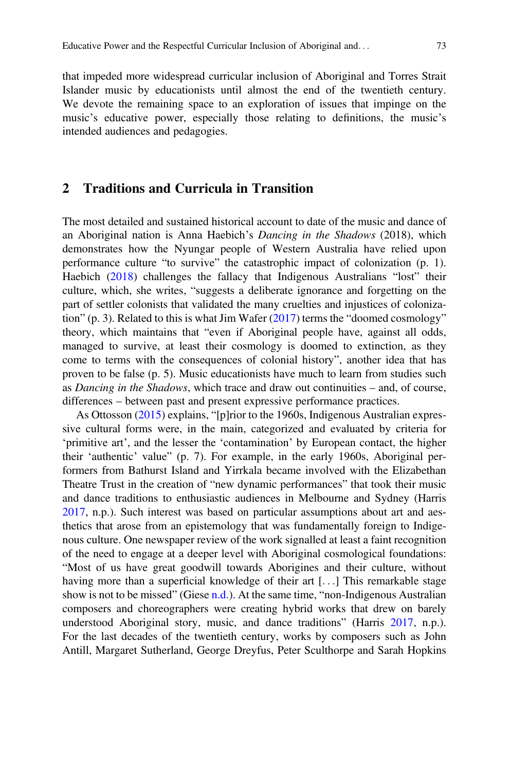that impeded more widespread curricular inclusion of Aboriginal and Torres Strait Islander music by educationists until almost the end of the twentieth century. We devote the remaining space to an exploration of issues that impinge on the music's educative power, especially those relating to definitions, the music's intended audiences and pedagogies.

#### 2 Traditions and Curricula in Transition

The most detailed and sustained historical account to date of the music and dance of an Aboriginal nation is Anna Haebich's Dancing in the Shadows (2018), which demonstrates how the Nyungar people of Western Australia have relied upon performance culture "to survive" the catastrophic impact of colonization (p. 1). Haebich (2018) challenges the fallacy that Indigenous Australians "lost" their culture, which, she writes, "suggests a deliberate ignorance and forgetting on the part of settler colonists that validated the many cruelties and injustices of colonization" (p. 3). Related to this is what Jim Wafer (2017) terms the "doomed cosmology" theory, which maintains that "even if Aboriginal people have, against all odds, managed to survive, at least their cosmology is doomed to extinction, as they come to terms with the consequences of colonial history", another idea that has proven to be false (p. 5). Music educationists have much to learn from studies such as Dancing in the Shadows, which trace and draw out continuities – and, of course, differences – between past and present expressive performance practices.

As Ottosson (2015) explains, "[p]rior to the 1960s, Indigenous Australian expressive cultural forms were, in the main, categorized and evaluated by criteria for 'primitive art', and the lesser the 'contamination' by European contact, the higher their 'authentic' value" (p. 7). For example, in the early 1960s, Aboriginal performers from Bathurst Island and Yirrkala became involved with the Elizabethan Theatre Trust in the creation of "new dynamic performances" that took their music and dance traditions to enthusiastic audiences in Melbourne and Sydney (Harris 2017, n.p.). Such interest was based on particular assumptions about art and aesthetics that arose from an epistemology that was fundamentally foreign to Indigenous culture. One newspaper review of the work signalled at least a faint recognition of the need to engage at a deeper level with Aboriginal cosmological foundations: "Most of us have great goodwill towards Aborigines and their culture, without having more than a superficial knowledge of their art [...] This remarkable stage show is not to be missed" (Giese n.d.). At the same time, "non-Indigenous Australian composers and choreographers were creating hybrid works that drew on barely understood Aboriginal story, music, and dance traditions" (Harris 2017, n.p.). For the last decades of the twentieth century, works by composers such as John Antill, Margaret Sutherland, George Dreyfus, Peter Sculthorpe and Sarah Hopkins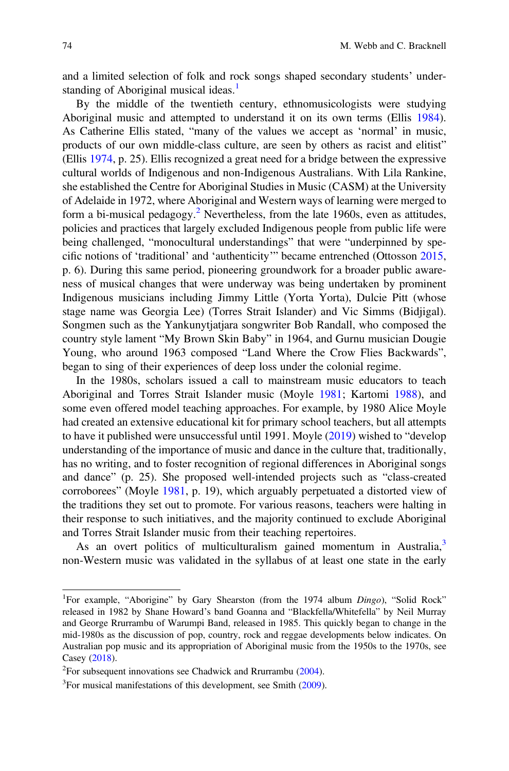and a limited selection of folk and rock songs shaped secondary students' understanding of Aboriginal musical ideas.<sup>1</sup>

By the middle of the twentieth century, ethnomusicologists were studying Aboriginal music and attempted to understand it on its own terms (Ellis 1984). As Catherine Ellis stated, "many of the values we accept as 'normal' in music, products of our own middle-class culture, are seen by others as racist and elitist" (Ellis 1974, p. 25). Ellis recognized a great need for a bridge between the expressive cultural worlds of Indigenous and non-Indigenous Australians. With Lila Rankine, she established the Centre for Aboriginal Studies in Music (CASM) at the University of Adelaide in 1972, where Aboriginal and Western ways of learning were merged to form a bi-musical pedagogy.<sup>2</sup> Nevertheless, from the late 1960s, even as attitudes, policies and practices that largely excluded Indigenous people from public life were being challenged, "monocultural understandings" that were "underpinned by specific notions of 'traditional' and 'authenticity'" became entrenched (Ottosson 2015, p. 6). During this same period, pioneering groundwork for a broader public awareness of musical changes that were underway was being undertaken by prominent Indigenous musicians including Jimmy Little (Yorta Yorta), Dulcie Pitt (whose stage name was Georgia Lee) (Torres Strait Islander) and Vic Simms (Bidjigal). Songmen such as the Yankunytjatjara songwriter Bob Randall, who composed the country style lament "My Brown Skin Baby" in 1964, and Gurnu musician Dougie Young, who around 1963 composed "Land Where the Crow Flies Backwards", began to sing of their experiences of deep loss under the colonial regime.

In the 1980s, scholars issued a call to mainstream music educators to teach Aboriginal and Torres Strait Islander music (Moyle 1981; Kartomi 1988), and some even offered model teaching approaches. For example, by 1980 Alice Moyle had created an extensive educational kit for primary school teachers, but all attempts to have it published were unsuccessful until 1991. Moyle (2019) wished to "develop understanding of the importance of music and dance in the culture that, traditionally, has no writing, and to foster recognition of regional differences in Aboriginal songs and dance" (p. 25). She proposed well-intended projects such as "class-created corroborees" (Moyle 1981, p. 19), which arguably perpetuated a distorted view of the traditions they set out to promote. For various reasons, teachers were halting in their response to such initiatives, and the majority continued to exclude Aboriginal and Torres Strait Islander music from their teaching repertoires.

As an overt politics of multiculturalism gained momentum in Australia,<sup>3</sup> non-Western music was validated in the syllabus of at least one state in the early

<sup>&</sup>lt;sup>1</sup>For example, "Aborigine" by Gary Shearston (from the 1974 album Dingo), "Solid Rock" released in 1982 by Shane Howard's band Goanna and "Blackfella/Whitefella" by Neil Murray and George Rrurrambu of Warumpi Band, released in 1985. This quickly began to change in the mid-1980s as the discussion of pop, country, rock and reggae developments below indicates. On Australian pop music and its appropriation of Aboriginal music from the 1950s to the 1970s, see Casey (2018).

<sup>&</sup>lt;sup>2</sup> For subsequent innovations see Chadwick and Rrurrambu  $(2004)$ .

<sup>&</sup>lt;sup>3</sup>For musical manifestations of this development, see Smith (2009).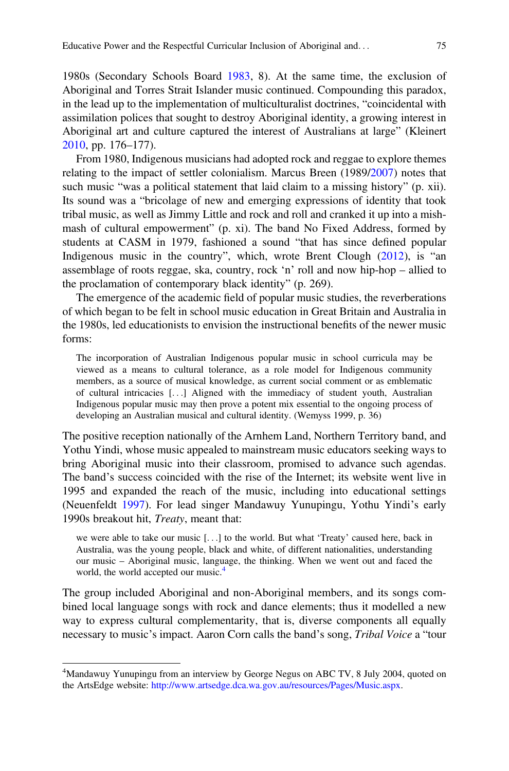1980s (Secondary Schools Board 1983, 8). At the same time, the exclusion of Aboriginal and Torres Strait Islander music continued. Compounding this paradox, in the lead up to the implementation of multiculturalist doctrines, "coincidental with assimilation polices that sought to destroy Aboriginal identity, a growing interest in Aboriginal art and culture captured the interest of Australians at large" (Kleinert 2010, pp. 176–177).

From 1980, Indigenous musicians had adopted rock and reggae to explore themes relating to the impact of settler colonialism. Marcus Breen (1989/2007) notes that such music "was a political statement that laid claim to a missing history" (p. xii). Its sound was a "bricolage of new and emerging expressions of identity that took tribal music, as well as Jimmy Little and rock and roll and cranked it up into a mishmash of cultural empowerment" (p. xi). The band No Fixed Address, formed by students at CASM in 1979, fashioned a sound "that has since defined popular Indigenous music in the country", which, wrote Brent Clough (2012), is "an assemblage of roots reggae, ska, country, rock 'n' roll and now hip-hop – allied to the proclamation of contemporary black identity" (p. 269).

The emergence of the academic field of popular music studies, the reverberations of which began to be felt in school music education in Great Britain and Australia in the 1980s, led educationists to envision the instructional benefits of the newer music forms:

The incorporation of Australian Indigenous popular music in school curricula may be viewed as a means to cultural tolerance, as a role model for Indigenous community members, as a source of musical knowledge, as current social comment or as emblematic of cultural intricacies [...] Aligned with the immediacy of student youth, Australian Indigenous popular music may then prove a potent mix essential to the ongoing process of developing an Australian musical and cultural identity. (Wemyss 1999, p. 36)

The positive reception nationally of the Arnhem Land, Northern Territory band, and Yothu Yindi, whose music appealed to mainstream music educators seeking ways to bring Aboriginal music into their classroom, promised to advance such agendas. The band's success coincided with the rise of the Internet; its website went live in 1995 and expanded the reach of the music, including into educational settings (Neuenfeldt 1997). For lead singer Mandawuy Yunupingu, Yothu Yindi's early 1990s breakout hit, Treaty, meant that:

we were able to take our music [...] to the world. But what 'Treaty' caused here, back in Australia, was the young people, black and white, of different nationalities, understanding our music – Aboriginal music, language, the thinking. When we went out and faced the world, the world accepted our music.<sup>4</sup>

The group included Aboriginal and non-Aboriginal members, and its songs combined local language songs with rock and dance elements; thus it modelled a new way to express cultural complementarity, that is, diverse components all equally necessary to music's impact. Aaron Corn calls the band's song, *Tribal Voice* a "tour

<sup>&</sup>lt;sup>4</sup>Mandawuy Yunupingu from an interview by George Negus on ABC TV, 8 July 2004, quoted on the ArtsEdge website: <http://www.artsedge.dca.wa.gov.au/resources/Pages/Music.aspx>.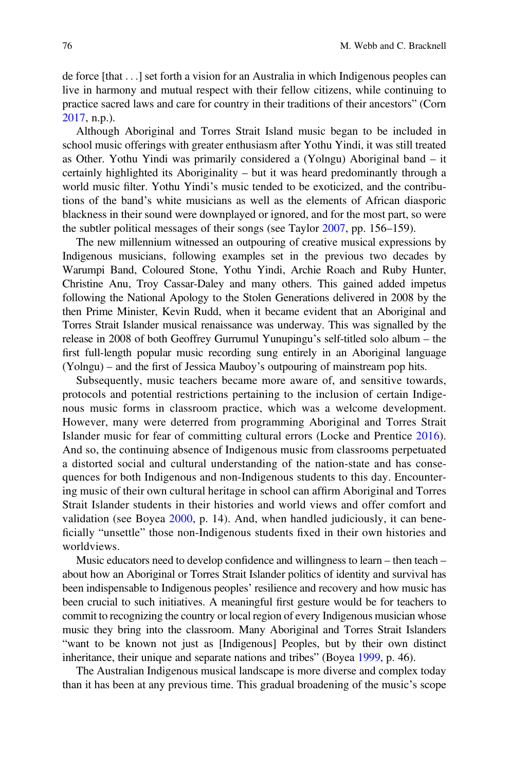de force [that ...] set forth a vision for an Australia in which Indigenous peoples can live in harmony and mutual respect with their fellow citizens, while continuing to practice sacred laws and care for country in their traditions of their ancestors" (Corn 2017, n.p.).

Although Aboriginal and Torres Strait Island music began to be included in school music offerings with greater enthusiasm after Yothu Yindi, it was still treated as Other. Yothu Yindi was primarily considered a (Yolngu) Aboriginal band – it certainly highlighted its Aboriginality – but it was heard predominantly through a world music filter. Yothu Yindi's music tended to be exoticized, and the contributions of the band's white musicians as well as the elements of African diasporic blackness in their sound were downplayed or ignored, and for the most part, so were the subtler political messages of their songs (see Taylor 2007, pp. 156–159).

The new millennium witnessed an outpouring of creative musical expressions by Indigenous musicians, following examples set in the previous two decades by Warumpi Band, Coloured Stone, Yothu Yindi, Archie Roach and Ruby Hunter, Christine Anu, Troy Cassar-Daley and many others. This gained added impetus following the National Apology to the Stolen Generations delivered in 2008 by the then Prime Minister, Kevin Rudd, when it became evident that an Aboriginal and Torres Strait Islander musical renaissance was underway. This was signalled by the release in 2008 of both Geoffrey Gurrumul Yunupingu's self-titled solo album – the first full-length popular music recording sung entirely in an Aboriginal language (Yolngu) – and the first of Jessica Mauboy's outpouring of mainstream pop hits.

Subsequently, music teachers became more aware of, and sensitive towards, protocols and potential restrictions pertaining to the inclusion of certain Indigenous music forms in classroom practice, which was a welcome development. However, many were deterred from programming Aboriginal and Torres Strait Islander music for fear of committing cultural errors (Locke and Prentice 2016). And so, the continuing absence of Indigenous music from classrooms perpetuated a distorted social and cultural understanding of the nation-state and has consequences for both Indigenous and non-Indigenous students to this day. Encountering music of their own cultural heritage in school can affirm Aboriginal and Torres Strait Islander students in their histories and world views and offer comfort and validation (see Boyea 2000, p. 14). And, when handled judiciously, it can beneficially "unsettle" those non-Indigenous students fixed in their own histories and worldviews.

Music educators need to develop confidence and willingness to learn – then teach – about how an Aboriginal or Torres Strait Islander politics of identity and survival has been indispensable to Indigenous peoples' resilience and recovery and how music has been crucial to such initiatives. A meaningful first gesture would be for teachers to commit to recognizing the country or local region of every Indigenous musician whose music they bring into the classroom. Many Aboriginal and Torres Strait Islanders "want to be known not just as [Indigenous] Peoples, but by their own distinct inheritance, their unique and separate nations and tribes" (Boyea 1999, p. 46).

The Australian Indigenous musical landscape is more diverse and complex today than it has been at any previous time. This gradual broadening of the music's scope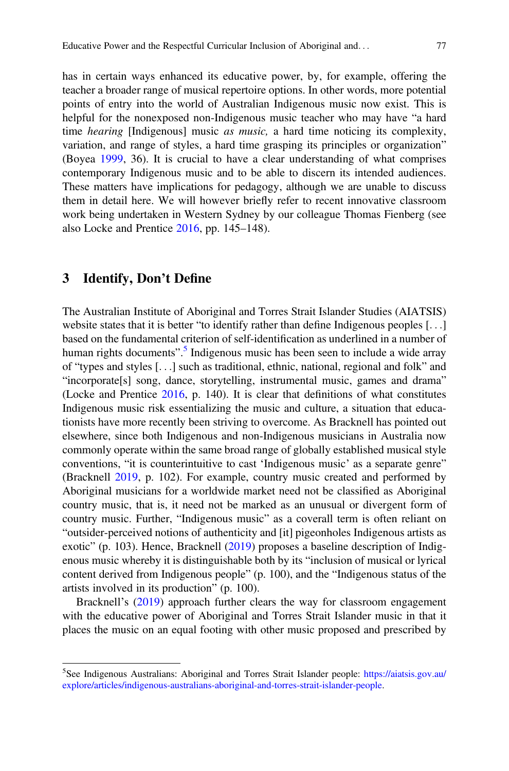has in certain ways enhanced its educative power, by, for example, offering the teacher a broader range of musical repertoire options. In other words, more potential points of entry into the world of Australian Indigenous music now exist. This is helpful for the nonexposed non-Indigenous music teacher who may have "a hard time hearing [Indigenous] music as music, a hard time noticing its complexity, variation, and range of styles, a hard time grasping its principles or organization" (Boyea 1999, 36). It is crucial to have a clear understanding of what comprises contemporary Indigenous music and to be able to discern its intended audiences. These matters have implications for pedagogy, although we are unable to discuss them in detail here. We will however briefly refer to recent innovative classroom work being undertaken in Western Sydney by our colleague Thomas Fienberg (see also Locke and Prentice  $2016$ , pp. 145–148).

#### 3 Identify, Don't Define

The Australian Institute of Aboriginal and Torres Strait Islander Studies (AIATSIS) website states that it is better "to identify rather than define Indigenous peoples [...] based on the fundamental criterion of self-identification as underlined in a number of human rights documents".<sup>5</sup> Indigenous music has been seen to include a wide array of "types and styles [...] such as traditional, ethnic, national, regional and folk" and "incorporate[s] song, dance, storytelling, instrumental music, games and drama" (Locke and Prentice 2016, p. 140). It is clear that definitions of what constitutes Indigenous music risk essentializing the music and culture, a situation that educationists have more recently been striving to overcome. As Bracknell has pointed out elsewhere, since both Indigenous and non-Indigenous musicians in Australia now commonly operate within the same broad range of globally established musical style conventions, "it is counterintuitive to cast 'Indigenous music' as a separate genre" (Bracknell 2019, p. 102). For example, country music created and performed by Aboriginal musicians for a worldwide market need not be classified as Aboriginal country music, that is, it need not be marked as an unusual or divergent form of country music. Further, "Indigenous music" as a coverall term is often reliant on "outsider-perceived notions of authenticity and [it] pigeonholes Indigenous artists as exotic" (p. 103). Hence, Bracknell (2019) proposes a baseline description of Indigenous music whereby it is distinguishable both by its "inclusion of musical or lyrical content derived from Indigenous people" (p. 100), and the "Indigenous status of the artists involved in its production" (p. 100).

Bracknell's (2019) approach further clears the way for classroom engagement with the educative power of Aboriginal and Torres Strait Islander music in that it places the music on an equal footing with other music proposed and prescribed by

<sup>&</sup>lt;sup>5</sup> See Indigenous Australians: Aboriginal and Torres Strait Islander people: [https://aiatsis.gov.au/](https://aiatsis.gov.au/explore/articles/indigenous-australians-aboriginal-and-torres-strait-islander-people) [explore/articles/indigenous-australians-aboriginal-and-torres-strait-islander-people](https://aiatsis.gov.au/explore/articles/indigenous-australians-aboriginal-and-torres-strait-islander-people).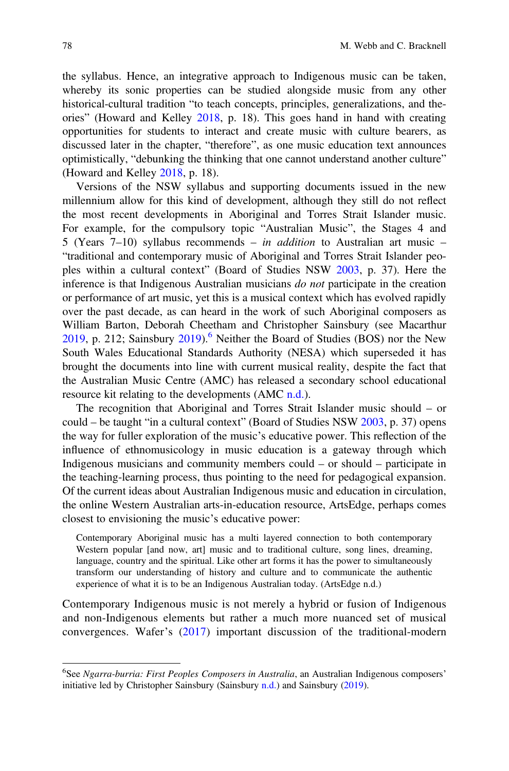the syllabus. Hence, an integrative approach to Indigenous music can be taken, whereby its sonic properties can be studied alongside music from any other historical-cultural tradition "to teach concepts, principles, generalizations, and theories" (Howard and Kelley 2018, p. 18). This goes hand in hand with creating opportunities for students to interact and create music with culture bearers, as discussed later in the chapter, "therefore", as one music education text announces optimistically, "debunking the thinking that one cannot understand another culture" (Howard and Kelley 2018, p. 18).

Versions of the NSW syllabus and supporting documents issued in the new millennium allow for this kind of development, although they still do not reflect the most recent developments in Aboriginal and Torres Strait Islander music. For example, for the compulsory topic "Australian Music", the Stages 4 and 5 (Years  $7-10$ ) syllabus recommends – *in addition* to Australian art music – "traditional and contemporary music of Aboriginal and Torres Strait Islander peoples within a cultural context" (Board of Studies NSW 2003, p. 37). Here the inference is that Indigenous Australian musicians do not participate in the creation or performance of art music, yet this is a musical context which has evolved rapidly over the past decade, as can heard in the work of such Aboriginal composers as William Barton, Deborah Cheetham and Christopher Sainsbury (see Macarthur 2019, p. 212; Sainsbury  $2019$ . <sup>6</sup> Neither the Board of Studies (BOS) nor the New South Wales Educational Standards Authority (NESA) which superseded it has brought the documents into line with current musical reality, despite the fact that the Australian Music Centre (AMC) has released a secondary school educational resource kit relating to the developments  $(AMC n.d.).$ 

The recognition that Aboriginal and Torres Strait Islander music should – or could – be taught "in a cultural context" (Board of Studies NSW 2003, p. 37) opens the way for fuller exploration of the music's educative power. This reflection of the influence of ethnomusicology in music education is a gateway through which Indigenous musicians and community members could – or should – participate in the teaching-learning process, thus pointing to the need for pedagogical expansion. Of the current ideas about Australian Indigenous music and education in circulation, the online Western Australian arts-in-education resource, ArtsEdge, perhaps comes closest to envisioning the music's educative power:

Contemporary Aboriginal music has a multi layered connection to both contemporary Western popular [and now, art] music and to traditional culture, song lines, dreaming, language, country and the spiritual. Like other art forms it has the power to simultaneously transform our understanding of history and culture and to communicate the authentic experience of what it is to be an Indigenous Australian today. (ArtsEdge n.d.)

Contemporary Indigenous music is not merely a hybrid or fusion of Indigenous and non-Indigenous elements but rather a much more nuanced set of musical convergences. Wafer's (2017) important discussion of the traditional-modern

<sup>&</sup>lt;sup>6</sup>See Ngarra-burria: First Peoples Composers in Australia, an Australian Indigenous composers' initiative led by Christopher Sainsbury (Sainsbury  $n.d.$ ) and Sainsbury (2019).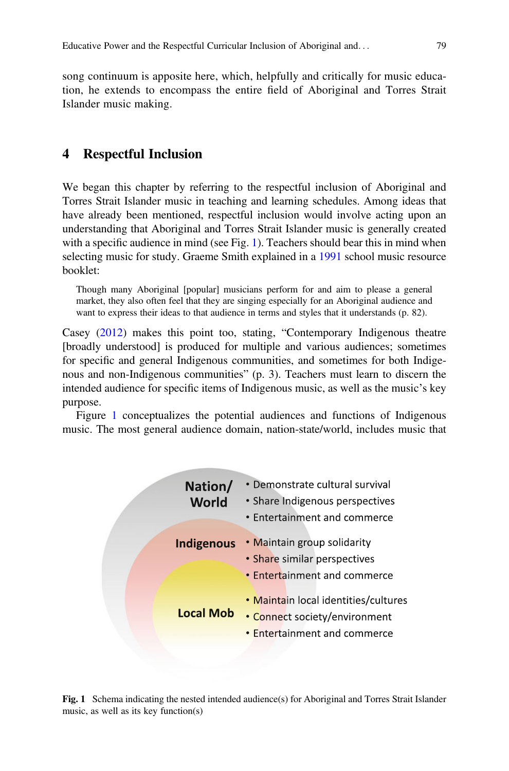song continuum is apposite here, which, helpfully and critically for music education, he extends to encompass the entire field of Aboriginal and Torres Strait Islander music making.

#### 4 Respectful Inclusion

We began this chapter by referring to the respectful inclusion of Aboriginal and Torres Strait Islander music in teaching and learning schedules. Among ideas that have already been mentioned, respectful inclusion would involve acting upon an understanding that Aboriginal and Torres Strait Islander music is generally created with a specific audience in mind (see Fig. 1). Teachers should bear this in mind when selecting music for study. Graeme Smith explained in a 1991 school music resource booklet:

Though many Aboriginal [popular] musicians perform for and aim to please a general market, they also often feel that they are singing especially for an Aboriginal audience and want to express their ideas to that audience in terms and styles that it understands (p. 82).

Casey (2012) makes this point too, stating, "Contemporary Indigenous theatre [broadly understood] is produced for multiple and various audiences; sometimes for specific and general Indigenous communities, and sometimes for both Indigenous and non-Indigenous communities" (p. 3). Teachers must learn to discern the intended audience for specific items of Indigenous music, as well as the music's key purpose.

Figure 1 conceptualizes the potential audiences and functions of Indigenous music. The most general audience domain, nation-state/world, includes music that

| Nation/<br>World  | • Demonstrate cultural survival<br>• Share Indigenous perspectives<br>• Entertainment and commerce           |
|-------------------|--------------------------------------------------------------------------------------------------------------|
| <b>Indigenous</b> | • Maintain group solidarity<br>• Share similar perspectives<br>• Entertainment and commerce                  |
| <b>Local Mob</b>  | • Maintain local identities/cultures<br>• Connect society/environment<br><b>.</b> Entertainment and commerce |

Fig. 1 Schema indicating the nested intended audience(s) for Aboriginal and Torres Strait Islander music, as well as its key function(s)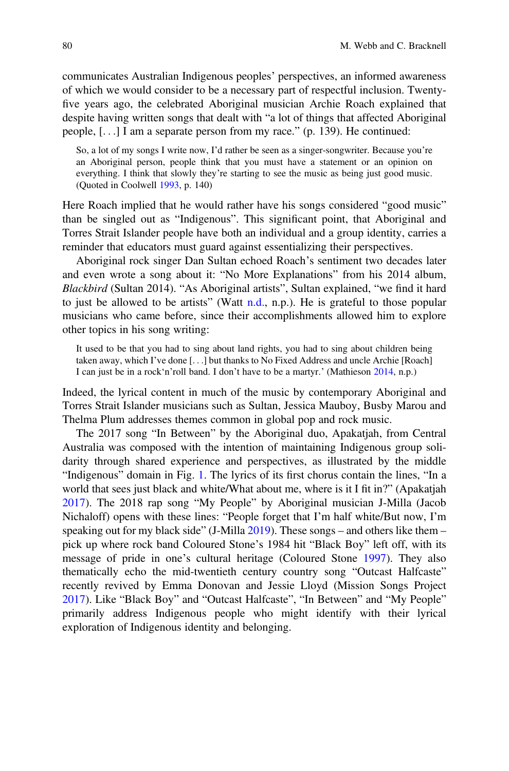communicates Australian Indigenous peoples' perspectives, an informed awareness of which we would consider to be a necessary part of respectful inclusion. Twentyfive years ago, the celebrated Aboriginal musician Archie Roach explained that despite having written songs that dealt with "a lot of things that affected Aboriginal people, [...] I am a separate person from my race." (p. 139). He continued:

So, a lot of my songs I write now, I'd rather be seen as a singer-songwriter. Because you're an Aboriginal person, people think that you must have a statement or an opinion on everything. I think that slowly they're starting to see the music as being just good music. (Quoted in Coolwell 1993, p. 140)

Here Roach implied that he would rather have his songs considered "good music" than be singled out as "Indigenous". This significant point, that Aboriginal and Torres Strait Islander people have both an individual and a group identity, carries a reminder that educators must guard against essentializing their perspectives.

Aboriginal rock singer Dan Sultan echoed Roach's sentiment two decades later and even wrote a song about it: "No More Explanations" from his 2014 album, Blackbird (Sultan 2014). "As Aboriginal artists", Sultan explained, "we find it hard to just be allowed to be artists" (Watt n.d., n.p.). He is grateful to those popular musicians who came before, since their accomplishments allowed him to explore other topics in his song writing:

It used to be that you had to sing about land rights, you had to sing about children being taken away, which I've done [...] but thanks to No Fixed Address and uncle Archie [Roach] I can just be in a rock'n'roll band. I don't have to be a martyr.' (Mathieson 2014, n.p.)

Indeed, the lyrical content in much of the music by contemporary Aboriginal and Torres Strait Islander musicians such as Sultan, Jessica Mauboy, Busby Marou and Thelma Plum addresses themes common in global pop and rock music.

The 2017 song "In Between" by the Aboriginal duo, Apakatjah, from Central Australia was composed with the intention of maintaining Indigenous group solidarity through shared experience and perspectives, as illustrated by the middle "Indigenous" domain in Fig. 1. The lyrics of its first chorus contain the lines, "In a world that sees just black and white/What about me, where is it I fit in?" (Apakatjah 2017). The 2018 rap song "My People" by Aboriginal musician J-Milla (Jacob Nichaloff) opens with these lines: "People forget that I'm half white/But now, I'm speaking out for my black side" (J-Milla 2019). These songs – and others like them – pick up where rock band Coloured Stone's 1984 hit "Black Boy" left off, with its message of pride in one's cultural heritage (Coloured Stone 1997). They also thematically echo the mid-twentieth century country song "Outcast Halfcaste" recently revived by Emma Donovan and Jessie Lloyd (Mission Songs Project 2017). Like "Black Boy" and "Outcast Halfcaste", "In Between" and "My People" primarily address Indigenous people who might identify with their lyrical exploration of Indigenous identity and belonging.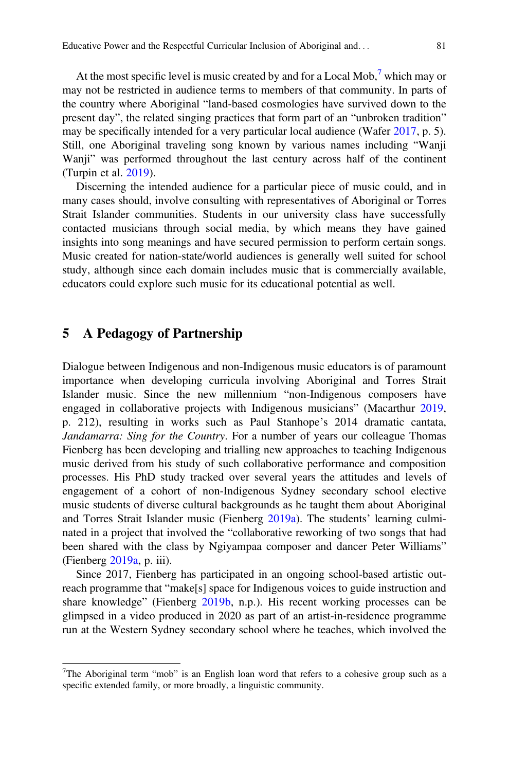At the most specific level is music created by and for a Local Mob,<sup>7</sup> which may or may not be restricted in audience terms to members of that community. In parts of the country where Aboriginal "land-based cosmologies have survived down to the present day", the related singing practices that form part of an "unbroken tradition" may be specifically intended for a very particular local audience (Wafer 2017, p. 5). Still, one Aboriginal traveling song known by various names including "Wanji Wanji" was performed throughout the last century across half of the continent (Turpin et al. 2019).

Discerning the intended audience for a particular piece of music could, and in many cases should, involve consulting with representatives of Aboriginal or Torres Strait Islander communities. Students in our university class have successfully contacted musicians through social media, by which means they have gained insights into song meanings and have secured permission to perform certain songs. Music created for nation-state/world audiences is generally well suited for school study, although since each domain includes music that is commercially available, educators could explore such music for its educational potential as well.

#### 5 A Pedagogy of Partnership

Dialogue between Indigenous and non-Indigenous music educators is of paramount importance when developing curricula involving Aboriginal and Torres Strait Islander music. Since the new millennium "non-Indigenous composers have engaged in collaborative projects with Indigenous musicians" (Macarthur 2019, p. 212), resulting in works such as Paul Stanhope's 2014 dramatic cantata, Jandamarra: Sing for the Country. For a number of years our colleague Thomas Fienberg has been developing and trialling new approaches to teaching Indigenous music derived from his study of such collaborative performance and composition processes. His PhD study tracked over several years the attitudes and levels of engagement of a cohort of non-Indigenous Sydney secondary school elective music students of diverse cultural backgrounds as he taught them about Aboriginal and Torres Strait Islander music (Fienberg 2019a). The students' learning culminated in a project that involved the "collaborative reworking of two songs that had been shared with the class by Ngiyampaa composer and dancer Peter Williams" (Fienberg 2019a, p. iii).

Since 2017, Fienberg has participated in an ongoing school-based artistic outreach programme that "make[s] space for Indigenous voices to guide instruction and share knowledge" (Fienberg 2019b, n.p.). His recent working processes can be glimpsed in a video produced in 2020 as part of an artist-in-residence programme run at the Western Sydney secondary school where he teaches, which involved the

<sup>&</sup>lt;sup>7</sup>The Aboriginal term "mob" is an English loan word that refers to a cohesive group such as a specific extended family, or more broadly, a linguistic community.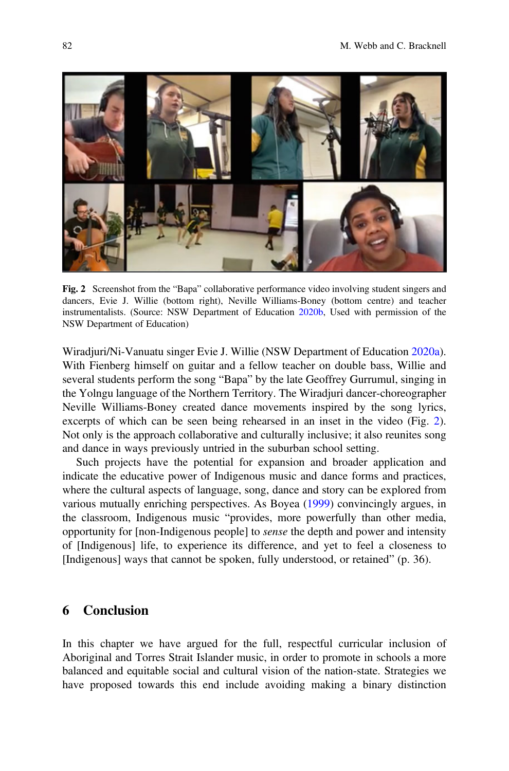

Fig. 2 Screenshot from the "Bapa" collaborative performance video involving student singers and dancers, Evie J. Willie (bottom right), Neville Williams-Boney (bottom centre) and teacher instrumentalists. (Source: NSW Department of Education 2020b, Used with permission of the NSW Department of Education)

Wiradjuri/Ni-Vanuatu singer Evie J. Willie (NSW Department of Education 2020a). With Fienberg himself on guitar and a fellow teacher on double bass, Willie and several students perform the song "Bapa" by the late Geoffrey Gurrumul, singing in the Yolngu language of the Northern Territory. The Wiradjuri dancer-choreographer Neville Williams-Boney created dance movements inspired by the song lyrics, excerpts of which can be seen being rehearsed in an inset in the video (Fig. 2). Not only is the approach collaborative and culturally inclusive; it also reunites song and dance in ways previously untried in the suburban school setting.

Such projects have the potential for expansion and broader application and indicate the educative power of Indigenous music and dance forms and practices, where the cultural aspects of language, song, dance and story can be explored from various mutually enriching perspectives. As Boyea (1999) convincingly argues, in the classroom, Indigenous music "provides, more powerfully than other media, opportunity for [non-Indigenous people] to sense the depth and power and intensity of [Indigenous] life, to experience its difference, and yet to feel a closeness to [Indigenous] ways that cannot be spoken, fully understood, or retained" (p. 36).

#### 6 Conclusion

In this chapter we have argued for the full, respectful curricular inclusion of Aboriginal and Torres Strait Islander music, in order to promote in schools a more balanced and equitable social and cultural vision of the nation-state. Strategies we have proposed towards this end include avoiding making a binary distinction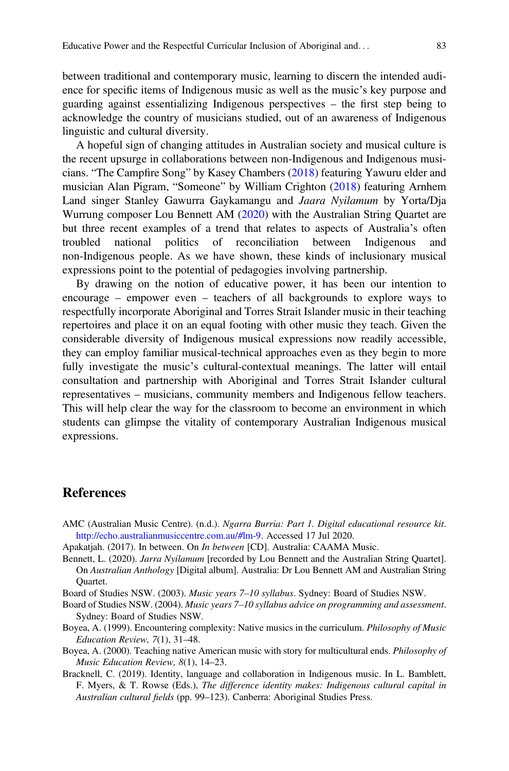between traditional and contemporary music, learning to discern the intended audience for specific items of Indigenous music as well as the music's key purpose and guarding against essentializing Indigenous perspectives – the first step being to acknowledge the country of musicians studied, out of an awareness of Indigenous linguistic and cultural diversity.

A hopeful sign of changing attitudes in Australian society and musical culture is the recent upsurge in collaborations between non-Indigenous and Indigenous musicians. "The Campfire Song" by Kasey Chambers (2018) featuring Yawuru elder and musician Alan Pigram, "Someone" by William Crighton (2018) featuring Arnhem Land singer Stanley Gawurra Gaykamangu and Jaara Nyilamum by Yorta/Dja Wurrung composer Lou Bennett AM (2020) with the Australian String Quartet are but three recent examples of a trend that relates to aspects of Australia's often troubled national politics of reconciliation between Indigenous and non-Indigenous people. As we have shown, these kinds of inclusionary musical expressions point to the potential of pedagogies involving partnership.

By drawing on the notion of educative power, it has been our intention to encourage – empower even – teachers of all backgrounds to explore ways to respectfully incorporate Aboriginal and Torres Strait Islander music in their teaching repertoires and place it on an equal footing with other music they teach. Given the considerable diversity of Indigenous musical expressions now readily accessible, they can employ familiar musical-technical approaches even as they begin to more fully investigate the music's cultural-contextual meanings. The latter will entail consultation and partnership with Aboriginal and Torres Strait Islander cultural representatives – musicians, community members and Indigenous fellow teachers. This will help clear the way for the classroom to become an environment in which students can glimpse the vitality of contemporary Australian Indigenous musical expressions.

#### References

- AMC (Australian Music Centre). (n.d.). Ngarra Burria: Part 1. Digital educational resource kit. [http://echo.australianmusiccentre.com.au/#lm-9.](http://echo.australianmusiccentre.com.au/#lm-9) Accessed 17 Jul 2020.
- Apakatjah. (2017). In between. On In between [CD]. Australia: CAAMA Music.
- Bennett, L. (2020). Jarra Nyilamum [recorded by Lou Bennett and the Australian String Quartet]. On Australian Anthology [Digital album]. Australia: Dr Lou Bennett AM and Australian String Quartet.
- Board of Studies NSW. (2003). Music years 7–10 syllabus. Sydney: Board of Studies NSW.
- Board of Studies NSW. (2004). Music years 7–10 syllabus advice on programming and assessment. Sydney: Board of Studies NSW.
- Boyea, A. (1999). Encountering complexity: Native musics in the curriculum. *Philosophy of Music* Education Review, 7(1), 31–48.
- Boyea, A. (2000). Teaching native American music with story for multicultural ends. Philosophy of Music Education Review, 8(1), 14–23.
- Bracknell, C. (2019). Identity, language and collaboration in Indigenous music. In L. Bamblett, F. Myers, & T. Rowse (Eds.), The difference identity makes: Indigenous cultural capital in Australian cultural fields (pp. 99–123). Canberra: Aboriginal Studies Press.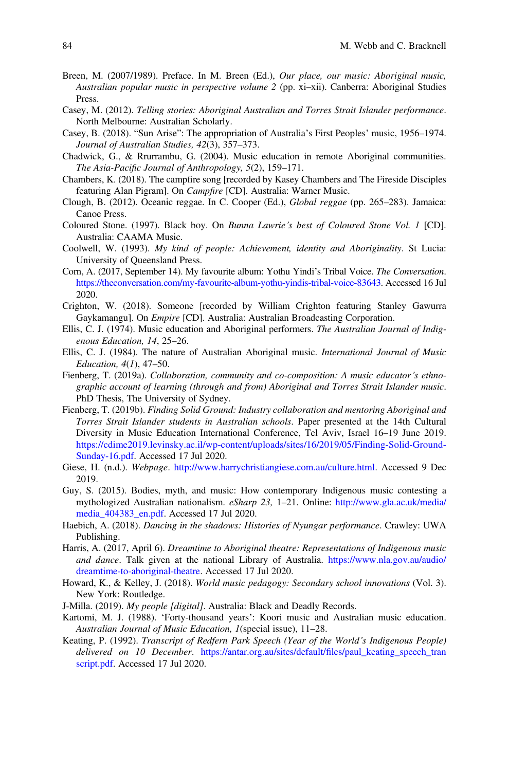- Breen, M. (2007/1989). Preface. In M. Breen (Ed.), Our place, our music: Aboriginal music, Australian popular music in perspective volume 2 (pp. xi–xii). Canberra: Aboriginal Studies Press.
- Casey, M. (2012). Telling stories: Aboriginal Australian and Torres Strait Islander performance. North Melbourne: Australian Scholarly.
- Casey, B. (2018). "Sun Arise": The appropriation of Australia's First Peoples' music, 1956–1974. Journal of Australian Studies, 42(3), 357–373.
- Chadwick, G., & Rrurrambu, G. (2004). Music education in remote Aboriginal communities. The Asia-Pacific Journal of Anthropology, 5(2), 159–171.
- Chambers, K. (2018). The campfire song [recorded by Kasey Chambers and The Fireside Disciples featuring Alan Pigram]. On Campfire [CD]. Australia: Warner Music.
- Clough, B. (2012). Oceanic reggae. In C. Cooper (Ed.), Global reggae (pp. 265–283). Jamaica: Canoe Press.
- Coloured Stone. (1997). Black boy. On Bunna Lawrie's best of Coloured Stone Vol. 1 [CD]. Australia: CAAMA Music.
- Coolwell, W. (1993). My kind of people: Achievement, identity and Aboriginality. St Lucia: University of Queensland Press.
- Corn, A. (2017, September 14). My favourite album: Yothu Yindi's Tribal Voice. The Conversation. [https://theconversation.com/my-favourite-album-yothu-yindis-tribal-voice-83643.](https://theconversation.com/my-favourite-album-yothu-yindis-tribal-voice-83643) Accessed 16 Jul 2020.
- Crighton, W. (2018). Someone [recorded by William Crighton featuring Stanley Gawurra Gaykamangu]. On Empire [CD]. Australia: Australian Broadcasting Corporation.
- Ellis, C. J. (1974). Music education and Aboriginal performers. The Australian Journal of Indigenous Education, 14, 25–26.
- Ellis, C. J. (1984). The nature of Australian Aboriginal music. International Journal of Music Education, 4(1), 47–50.
- Fienberg, T. (2019a). Collaboration, community and co-composition: A music educator's ethnographic account of learning (through and from) Aboriginal and Torres Strait Islander music. PhD Thesis, The University of Sydney.
- Fienberg, T. (2019b). Finding Solid Ground: Industry collaboration and mentoring Aboriginal and Torres Strait Islander students in Australian schools. Paper presented at the 14th Cultural Diversity in Music Education International Conference, Tel Aviv, Israel 16–19 June 2019. [https://cdime2019.levinsky.ac.il/wp-content/uploads/sites/16/2019/05/Finding-Solid-Ground-](https://cdime2019.levinsky.ac.il/wp-content/uploads/sites/16/2019/05/Finding-Solid-Ground-Sunday-16.pdf)[Sunday-16.pdf.](https://cdime2019.levinsky.ac.il/wp-content/uploads/sites/16/2019/05/Finding-Solid-Ground-Sunday-16.pdf) Accessed 17 Jul 2020.
- Giese, H. (n.d.). Webpage. [http://www.harrychristiangiese.com.au/culture.html.](http://www.harrychristiangiese.com.au/culture.html) Accessed 9 Dec 2019.
- Guy, S. (2015). Bodies, myth, and music: How contemporary Indigenous music contesting a mythologized Australian nationalism. eSharp 23, 1–21. Online: [http://www.gla.ac.uk/media/](http://www.gla.ac.uk/media/media_404383_en.pdf) [media\\_404383\\_en.pdf](http://www.gla.ac.uk/media/media_404383_en.pdf). Accessed 17 Jul 2020.
- Haebich, A. (2018). Dancing in the shadows: Histories of Nyungar performance. Crawley: UWA Publishing.
- Harris, A. (2017, April 6). Dreamtime to Aboriginal theatre: Representations of Indigenous music and dance. Talk given at the national Library of Australia. [https://www.nla.gov.au/audio/](https://www.nla.gov.au/audio/dreamtime-to-aboriginal-theatre) [dreamtime-to-aboriginal-theatre.](https://www.nla.gov.au/audio/dreamtime-to-aboriginal-theatre) Accessed 17 Jul 2020.
- Howard, K., & Kelley, J. (2018). World music pedagogy: Secondary school innovations (Vol. 3). New York: Routledge.
- J-Milla. (2019). My people [digital]. Australia: Black and Deadly Records.
- Kartomi, M. J. (1988). 'Forty-thousand years': Koori music and Australian music education. Australian Journal of Music Education, 1(special issue), 11–28.
- Keating, P. (1992). Transcript of Redfern Park Speech (Year of the World's Indigenous People) delivered on 10 December. [https://antar.org.au/sites/default/](https://antar.org.au/sites/default/files/paul_keating_speech_transcript.pdf)files/paul\_keating\_speech\_tran [script.pdf.](https://antar.org.au/sites/default/files/paul_keating_speech_transcript.pdf) Accessed 17 Jul 2020.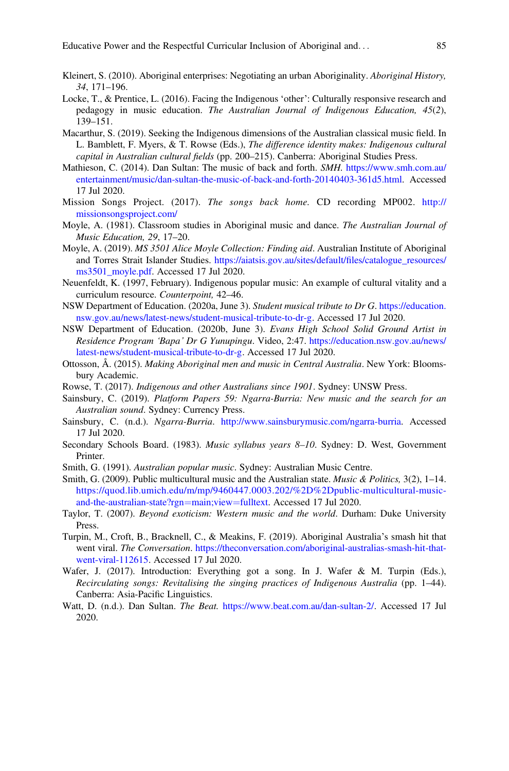- Kleinert, S. (2010). Aboriginal enterprises: Negotiating an urban Aboriginality. Aboriginal History, 34, 171–196.
- Locke, T., & Prentice, L. (2016). Facing the Indigenous 'other': Culturally responsive research and pedagogy in music education. The Australian Journal of Indigenous Education, 45(2), 139–151.
- Macarthur, S. (2019). Seeking the Indigenous dimensions of the Australian classical music field. In L. Bamblett, F. Myers, & T. Rowse (Eds.), The difference identity makes: Indigenous cultural capital in Australian cultural fields (pp. 200–215). Canberra: Aboriginal Studies Press.
- Mathieson, C. (2014). Dan Sultan: The music of back and forth. SMH. [https://www.smh.com.au/](https://www.smh.com.au/entertainment/music/dan-sultan-the-music-of-back-and-forth-20140403-361d5.html) [entertainment/music/dan-sultan-the-music-of-back-and-forth-20140403-361d5.html](https://www.smh.com.au/entertainment/music/dan-sultan-the-music-of-back-and-forth-20140403-361d5.html). Accessed 17 Jul 2020.
- Mission Songs Project. (2017). The songs back home. CD recording MP002. [http://](http://missionsongsproject.com/) [missionsongsproject.com/](http://missionsongsproject.com/)
- Moyle, A. (1981). Classroom studies in Aboriginal music and dance. The Australian Journal of Music Education, 29, 17–20.
- Moyle, A. (2019). MS 3501 Alice Moyle Collection: Finding aid. Australian Institute of Aboriginal and Torres Strait Islander Studies. [https://aiatsis.gov.au/sites/default/](https://aiatsis.gov.au/sites/default/files/catalogue_resources/ms3501_moyle.pdf)files/catalogue\_resources/ [ms3501\\_moyle.pdf](https://aiatsis.gov.au/sites/default/files/catalogue_resources/ms3501_moyle.pdf). Accessed 17 Jul 2020.
- Neuenfeldt, K. (1997, February). Indigenous popular music: An example of cultural vitality and a curriculum resource. Counterpoint, 42–46.
- NSW Department of Education. (2020a, June 3). Student musical tribute to Dr G. [https://education.](https://education.nsw.gov.au/news/latest-news/student-musical-tribute-to-dr-g) [nsw.gov.au/news/latest-news/student-musical-tribute-to-dr-g.](https://education.nsw.gov.au/news/latest-news/student-musical-tribute-to-dr-g) Accessed 17 Jul 2020.
- NSW Department of Education. (2020b, June 3). Evans High School Solid Ground Artist in Residence Program 'Bapa' Dr G Yunupingu. Video, 2:47. [https://education.nsw.gov.au/news/](https://education.nsw.gov.au/news/latest-news/student-musical-tribute-to-dr-g) [latest-news/student-musical-tribute-to-dr-g](https://education.nsw.gov.au/news/latest-news/student-musical-tribute-to-dr-g). Accessed 17 Jul 2020.
- Ottosson, Å. (2015). Making Aboriginal men and music in Central Australia. New York: Bloomsbury Academic.
- Rowse, T. (2017). Indigenous and other Australians since 1901. Sydney: UNSW Press.
- Sainsbury, C. (2019). Platform Papers 59: Ngarra-Burria: New music and the search for an Australian sound. Sydney: Currency Press.
- Sainsbury, C. (n.d.). Ngarra-Burria. <http://www.sainsburymusic.com/ngarra-burria>. Accessed 17 Jul 2020.
- Secondary Schools Board. (1983). Music syllabus years 8-10. Sydney: D. West, Government Printer.
- Smith, G. (1991). Australian popular music. Sydney: Australian Music Centre.
- Smith, G. (2009). Public multicultural music and the Australian state. *Music & Politics*,  $3(2)$ ,  $1-14$ . [https://quod.lib.umich.edu/m/mp/9460447.0003.202/%2D%2Dpublic-multicultural-music](https://quod.lib.umich.edu/m/mp/9460447.0003.202/%2D%2Dpublic-multicultural-music-and-the-australian-state?rgn=main;view=fulltext)[and-the-australian-state?rgn](https://quod.lib.umich.edu/m/mp/9460447.0003.202/%2D%2Dpublic-multicultural-music-and-the-australian-state?rgn=main;view=fulltext)=[main;view](https://quod.lib.umich.edu/m/mp/9460447.0003.202/%2D%2Dpublic-multicultural-music-and-the-australian-state?rgn=main;view=fulltext)=[fulltext.](https://quod.lib.umich.edu/m/mp/9460447.0003.202/%2D%2Dpublic-multicultural-music-and-the-australian-state?rgn=main;view=fulltext) Accessed 17 Jul 2020.
- Taylor, T. (2007). Beyond exoticism: Western music and the world. Durham: Duke University Press.
- Turpin, M., Croft, B., Bracknell, C., & Meakins, F. (2019). Aboriginal Australia's smash hit that went viral. The Conversation. [https://theconversation.com/aboriginal-australias-smash-hit-that](https://theconversation.com/aboriginal-australias-smash-hit-that-went-viral-112615)[went-viral-112615](https://theconversation.com/aboriginal-australias-smash-hit-that-went-viral-112615). Accessed 17 Jul 2020.
- Wafer, J. (2017). Introduction: Everything got a song. In J. Wafer & M. Turpin (Eds.), Recirculating songs: Revitalising the singing practices of Indigenous Australia (pp. 1–44). Canberra: Asia-Pacific Linguistics.
- Watt, D. (n.d.). Dan Sultan. *The Beat.* <https://www.beat.com.au/dan-sultan-2/>. Accessed 17 Jul 2020.